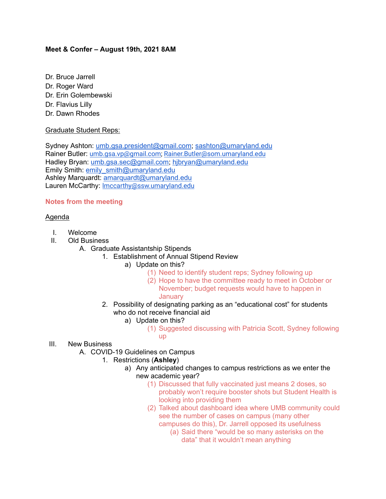## **Meet & Confer – August 19th, 2021 8AM**

- Dr. Bruce Jarrell
- Dr. Roger Ward
- Dr. Erin Golembewski
- Dr. Flavius Lilly
- Dr. Dawn Rhodes

## Graduate Student Reps:

Sydney Ashton: [umb.gsa.president@gmail.com;](mailto:umb.gsa.president@gmail.com) [sashton@umaryland.edu](mailto:sashton@umaryland.edu) Rainer Butler: [umb.gsa.vp@gmail.com;](mailto:umb.gsa.vp@gmail.com) [Rainer.Butler@som.umaryland.edu](mailto:Rainer.Butler@som.umaryland.edu) Hadley Bryan: [umb.gsa.sec@gmail.com;](mailto:umb.gsa.sec@gmail.com) [hjbryan@umaryland.edu](mailto:hjbryan@umaryland.edu) Emily Smith: [emily\\_smith@umaryland.edu](mailto:emily_smith@umaryland.edu) Ashley Marquardt: [amarquardt@umaryland.edu](mailto:amarquardt@umaryland.edu) Lauren McCarthy: Imccarthy@ssw.umaryland.edu

## **Notes from the meeting**

## Agenda

- I. Welcome
- II. Old Business
	- A. Graduate Assistantship Stipends
		- 1. Establishment of Annual Stipend Review
			- a) Update on this?
				- (1) Need to identify student reps; Sydney following up
				- (2) Hope to have the committee ready to meet in October or November; budget requests would have to happen in **January**
		- 2. Possibility of designating parking as an "educational cost" for students who do not receive financial aid
			- a) Update on this?
				- (1) Suggested discussing with Patricia Scott, Sydney following up
- III. New Business
	- A. COVID-19 Guidelines on Campus
		- 1. Restrictions (**Ashley**)
			- a) Any anticipated changes to campus restrictions as we enter the new academic year?
				- (1) Discussed that fully vaccinated just means 2 doses, so probably won't require booster shots but Student Health is looking into providing them
				- (2) Talked about dashboard idea where UMB community could see the number of cases on campus (many other campuses do this), Dr. Jarrell opposed its usefulness
					- (a) Said there "would be so many asterisks on the data" that it wouldn't mean anything